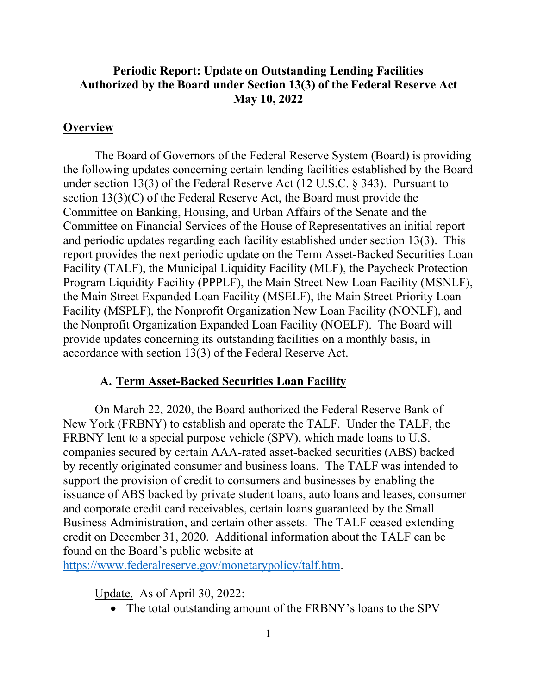## **Authorized by the Board under Section 13(3) of the Federal Reserve Act Periodic Report: Update on Outstanding Lending Facilities May 10, 2022**

#### **Overview**

 section 13(3)(C) of the Federal Reserve Act, the Board must provide the and periodic updates regarding each facility established under section 13(3). This report provides the next periodic update on the Term Asset-Backed Securities Loan the Main Street Expanded Loan Facility (MSELF), the Main Street Priority Loan the Nonprofit Organization Expanded Loan Facility (NOELF). The Board will The Board of Governors of the Federal Reserve System (Board) is providing the following updates concerning certain lending facilities established by the Board under section 13(3) of the Federal Reserve Act (12 U.S.C. § 343). Pursuant to Committee on Banking, Housing, and Urban Affairs of the Senate and the Committee on Financial Services of the House of Representatives an initial report Facility (TALF), the Municipal Liquidity Facility (MLF), the Paycheck Protection Program Liquidity Facility (PPPLF), the Main Street New Loan Facility (MSNLF), Facility (MSPLF), the Nonprofit Organization New Loan Facility (NONLF), and provide updates concerning its outstanding facilities on a monthly basis, in accordance with section 13(3) of the Federal Reserve Act.

#### **A. Term Asset-Backed Securities Loan Facility**

 New York (FRBNY) to establish and operate the TALF. Under the TALF, the FRBNY lent to a special purpose vehicle (SPV), which made loans to U.S. by recently originated consumer and business loans. The TALF was intended to issuance of ABS backed by private student loans, auto loans and leases, consumer Business Administration, and certain other assets. The TALF ceased extending credit on December 31, 2020. Additional information about the TALF can be On March 22, 2020, the Board authorized the Federal Reserve Bank of companies secured by certain AAA-rated asset-backed securities (ABS) backed support the provision of credit to consumers and businesses by enabling the and corporate credit card receivables, certain loans guaranteed by the Small found on the Board's public website at

https://www.federalreserve.gov/monetarypolicy/talf.htm.

Update. As of April 30, 2022:

• The total outstanding amount of the FRBNY's loans to the SPV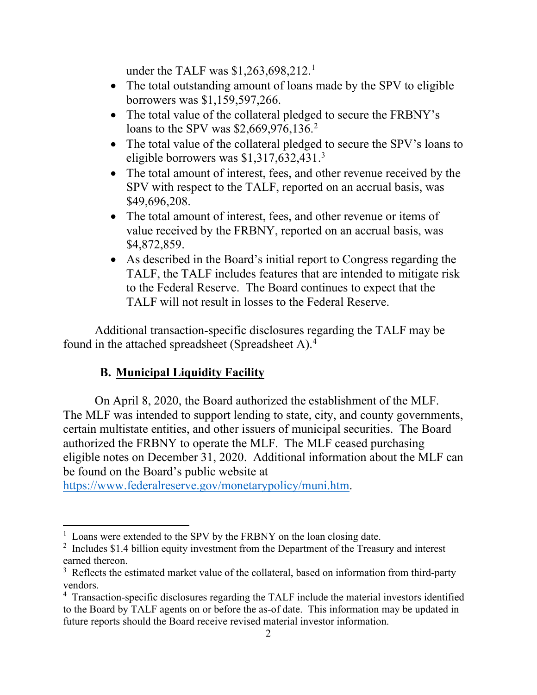under the TALF was \$1,263,698,212.<sup>1</sup>

- The total outstanding amount of loans made by the SPV to eligible borrowers was \$1,159,597,266.
- The total value of the collateral pledged to secure the FRBNY's loans to the SPV was \$2,669,976,136.<sup>2</sup>
- The total value of the collateral pledged to secure the SPV's loans to eligible borrowers was \$1,317,632,431. 3
- The total amount of interest, fees, and other revenue received by the SPV with respect to the TALF, reported on an accrual basis, was \$49,696,208.
- • The total amount of interest, fees, and other revenue or items of value received by the FRBNY, reported on an accrual basis, was \$4,872,859.
- TALF, the TALF includes features that are intended to mitigate risk • As described in the Board's initial report to Congress regarding the to the Federal Reserve. The Board continues to expect that the TALF will not result in losses to the Federal Reserve.

Additional transaction-specific disclosures regarding the TALF may be found in the attached spreadsheet (Spreadsheet A).4

# **B. Municipal Liquidity Facility**

 On April 8, 2020, the Board authorized the establishment of the MLF. authorized the FRBNY to operate the MLF. The MLF ceased purchasing eligible notes on December 31, 2020. Additional information about the MLF can The MLF was intended to support lending to state, city, and county governments, certain multistate entities, and other issuers of municipal securities. The Board be found on the Board's public website at

https://www.federalreserve.gov/monetarypolicy/muni.htm.

<sup>&</sup>lt;sup>1</sup> Loans were extended to the SPV by the FRBNY on the loan closing date.

 $2$  Includes \$1.4 billion equity investment from the Department of the Treasury and interest

earned thereon.<br><sup>3</sup> Reflects the estimated market value of the collateral, based on information from third-party vendors.

<sup>&</sup>lt;sup>4</sup> Transaction-specific disclosures regarding the TALF include the material investors identified to the Board by TALF agents on or before the as-of date. This information may be updated in future reports should the Board receive revised material investor information.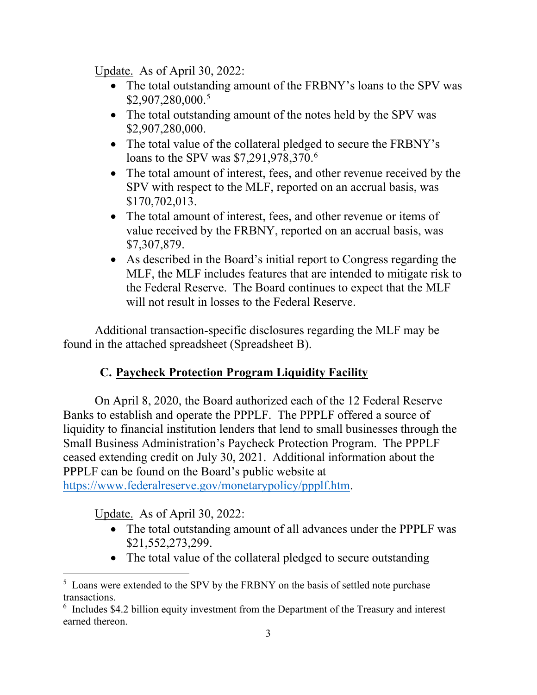Update. As of April 30, 2022:

- • The total outstanding amount of the FRBNY's loans to the SPV was \$2,907,280,000. 5
- • The total outstanding amount of the notes held by the SPV was \$2,907,280,000.
- The total value of the collateral pledged to secure the FRBNY's loans to the SPV was \$7,291,978,370.<sup>6</sup>
- The total amount of interest, fees, and other revenue received by the SPV with respect to the MLF, reported on an accrual basis, was \$170,702,013.
- The total amount of interest, fees, and other revenue or items of value received by the FRBNY, reported on an accrual basis, was \$7,307,879.
- the Federal Reserve. The Board continues to expect that the MLF • As described in the Board's initial report to Congress regarding the MLF, the MLF includes features that are intended to mitigate risk to will not result in losses to the Federal Reserve.

Additional transaction-specific disclosures regarding the MLF may be found in the attached spreadsheet (Spreadsheet B).

# **C. Paycheck Protection Program Liquidity Facility**

 Banks to establish and operate the PPPLF. The PPPLF offered a source of Small Business Administration's Paycheck Protection Program. The PPPLF On April 8, 2020, the Board authorized each of the 12 Federal Reserve liquidity to financial institution lenders that lend to small businesses through the ceased extending credit on July 30, 2021. Additional information about the PPPLF can be found on the Board's public website at https://www.federalreserve.gov/monetarypolicy/ppplf.htm.

Update. As of April 30, 2022:

- The total outstanding amount of all advances under the PPPLF was \$21,552,273,299.
- The total value of the collateral pledged to secure outstanding

<sup>&</sup>lt;sup>5</sup> Loans were extended to the SPV by the FRBNY on the basis of settled note purchase transactions.

 $6$  Includes \$4.2 billion equity investment from the Department of the Treasury and interest earned thereon.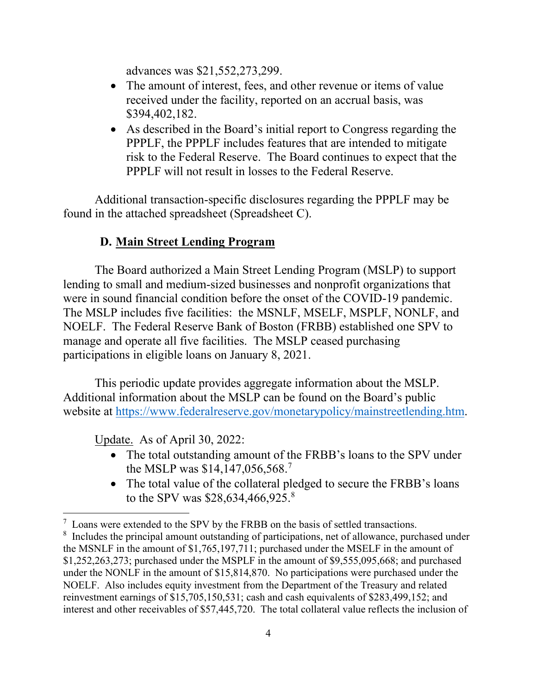advances was \$21,552,273,299.

- • The amount of interest, fees, and other revenue or items of value received under the facility, reported on an accrual basis, was \$394,402,182.
- As described in the Board's initial report to Congress regarding the PPPLF, the PPPLF includes features that are intended to mitigate risk to the Federal Reserve. The Board continues to expect that the PPPLF will not result in losses to the Federal Reserve.

Additional transaction-specific disclosures regarding the PPPLF may be found in the attached spreadsheet (Spreadsheet C).

## **D. Main Street Lending Program**

 were in sound financial condition before the onset of the COVID-19 pandemic. manage and operate all five facilities. The MSLP ceased purchasing The Board authorized a Main Street Lending Program (MSLP) to support lending to small and medium-sized businesses and nonprofit organizations that The MSLP includes five facilities: the MSNLF, MSELF, MSPLF, NONLF, and NOELF. The Federal Reserve Bank of Boston (FRBB) established one SPV to participations in eligible loans on January 8, 2021.

 This periodic update provides aggregate information about the MSLP. Additional information about the MSLP can be found on the Board's public website at https://www.federalreserve.gov/monetarypolicy/mainstreetlending.htm.

Update. As of April 30, 2022:

- • The total outstanding amount of the FRBB's loans to the SPV under the MSLP was \$14,147,056,568. 7
- The total value of the collateral pledged to secure the FRBB's loans to the SPV was \$28,634,466,925. 8

 $7$  Loans were extended to the SPV by the FRBB on the basis of settled transactions.

 $8$  Includes the principal amount outstanding of participations, net of allowance, purchased under the MSNLF in the amount of \$1,765,197,711; purchased under the MSELF in the amount of \$1,252,263,273; purchased under the MSPLF in the amount of \$9,555,095,668; and purchased under the NONLF in the amount of \$15,814,870. No participations were purchased under the NOELF. Also includes equity investment from the Department of the Treasury and related reinvestment earnings of \$15,705,150,531; cash and cash equivalents of \$283,499,152; and interest and other receivables of \$57,445,720. The total collateral value reflects the inclusion of